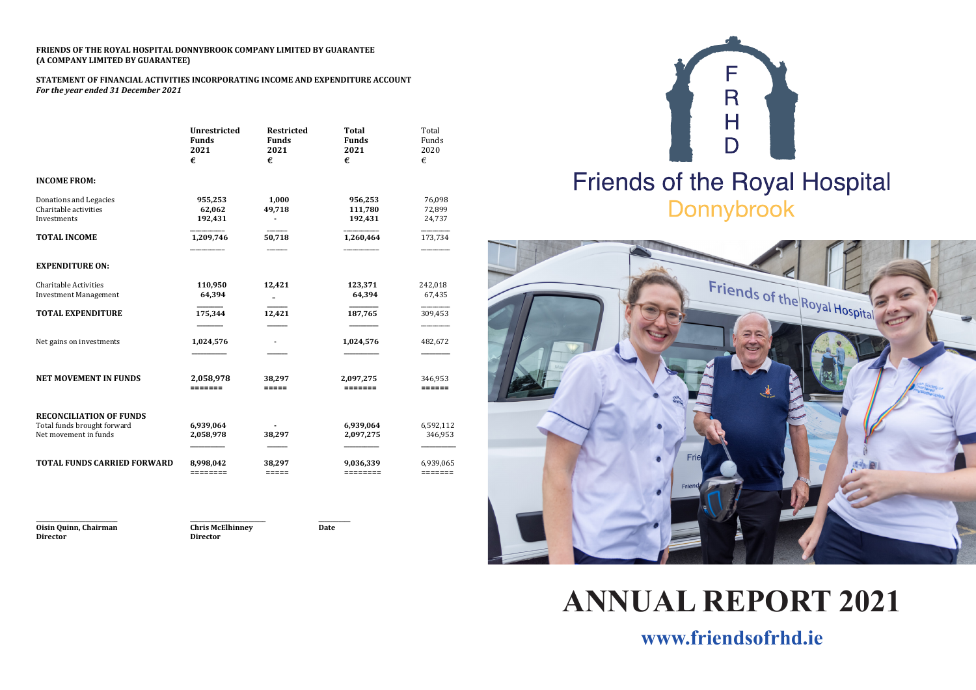### FRIENDS OF THE ROYAL HOSPITAL DONNYBROOK COMPANY LIMITED BY GUARANTEE **(A COMPANY LIMITED BY GUARANTEE)**

**STATEMENT OF FINANCIAL ACTIVITIES INCORPORATING INCOME AND EXPENDITURE ACCOUNT** For the year ended 31 December 2021

|                                                                                        | Unrestricted<br><b>Funds</b><br>2021<br>€ | Restricted<br><b>Funds</b><br>2021<br>€ | Total<br><b>Funds</b><br>2021<br>€ | Total<br>Funds<br>2020<br>€ |
|----------------------------------------------------------------------------------------|-------------------------------------------|-----------------------------------------|------------------------------------|-----------------------------|
| <b>INCOME FROM:</b>                                                                    |                                           |                                         |                                    |                             |
| Donations and Legacies<br>Charitable activities<br>Investments                         | 955,253<br>62,062<br>192,431              | 1.000<br>49,718<br>۰                    | 956,253<br>111,780<br>192,431      | 76,098<br>72,899<br>24,737  |
| <b>TOTAL INCOME</b>                                                                    | 1,209,746                                 | 50,718                                  | 1,260,464                          | 173,734                     |
| <b>EXPENDITURE ON:</b>                                                                 |                                           |                                         |                                    |                             |
| <b>Charitable Activities</b><br><b>Investment Management</b>                           | 110,950<br>64,394                         | 12,421<br>$\overline{\phantom{a}}$      | 123,371<br>64,394                  | 242,018<br>67,435           |
| <b>TOTAL EXPENDITURE</b>                                                               | 175.344                                   | 12,421                                  | 187,765                            | 309,453                     |
| Net gains on investments                                                               | 1,024,576                                 | $\sim 100$                              | 1,024,576                          | 482,672                     |
| <b>NET MOVEMENT IN FUNDS</b>                                                           | 2,058,978<br>=======                      | 38,297<br>$=$ $=$ $=$ $=$               | 2,097,275<br>=======               | 346,953<br>======           |
| <b>RECONCILIATION OF FUNDS</b><br>Total funds brought forward<br>Net movement in funds | 6,939,064<br>2,058,978                    | 38,297                                  | 6,939,064<br>2,097,275             | 6,592,112<br>346,953        |
| <b>TOTAL FUNDS CARRIED FORWARD</b>                                                     | 8,998,042<br>========                     | 38,297<br>$=$ $=$ $=$ $=$               | 9,036,339<br>========              | 6,939,065<br>=======        |

**\_\_\_\_\_\_\_\_\_\_\_\_\_\_\_\_\_\_\_\_\_\_\_\_\_\_\_\_ \_\_\_\_\_\_\_\_\_\_\_\_\_\_\_\_\_\_\_\_\_\_\_\_\_\_ \_\_\_\_\_\_\_\_\_\_\_ Oisin Quinn, Chairman Chris Chris McElhinney Date Director** 

**Director Director**





# **ANNUAL REPORT 2021**

**www.friendsofrhd.ie**